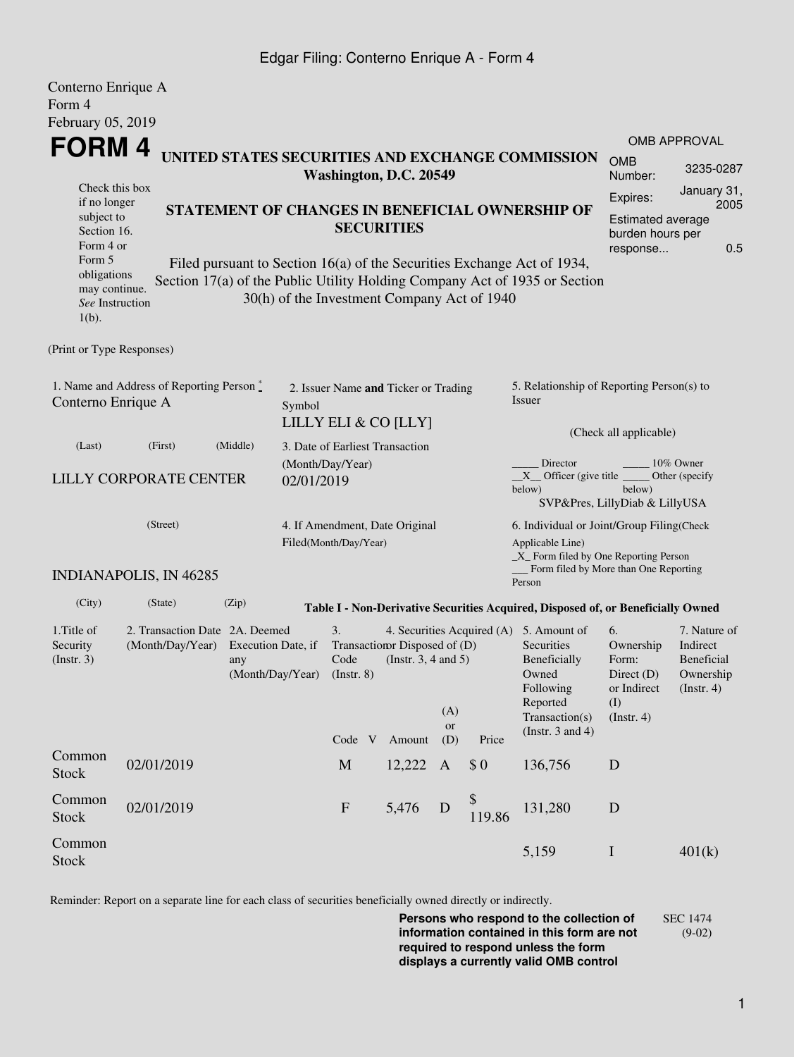## Edgar Filing: Conterno Enrique A - Form 4

| Conterno Enrique A<br>Form 4                                    |                                                                                |                                                                                 |                                      |                               |                                                         |                                                                                                                                                   |                            |                                                                                                                                                                                                          |                        |                                                                    |  |
|-----------------------------------------------------------------|--------------------------------------------------------------------------------|---------------------------------------------------------------------------------|--------------------------------------|-------------------------------|---------------------------------------------------------|---------------------------------------------------------------------------------------------------------------------------------------------------|----------------------------|----------------------------------------------------------------------------------------------------------------------------------------------------------------------------------------------------------|------------------------|--------------------------------------------------------------------|--|
| February 05, 2019                                               |                                                                                |                                                                                 |                                      |                               |                                                         |                                                                                                                                                   |                            |                                                                                                                                                                                                          |                        |                                                                    |  |
| <b>FORM4</b>                                                    |                                                                                |                                                                                 |                                      |                               |                                                         |                                                                                                                                                   |                            |                                                                                                                                                                                                          |                        | <b>OMB APPROVAL</b>                                                |  |
|                                                                 |                                                                                |                                                                                 |                                      |                               | Washington, D.C. 20549                                  |                                                                                                                                                   |                            | UNITED STATES SECURITIES AND EXCHANGE COMMISSION                                                                                                                                                         | <b>OMB</b><br>Number:  | 3235-0287                                                          |  |
| Check this box<br>if no longer                                  |                                                                                |                                                                                 |                                      |                               |                                                         |                                                                                                                                                   |                            |                                                                                                                                                                                                          | Expires:               | January 31,<br>2005                                                |  |
| subject to<br>Section 16.<br>Form 4 or<br>Form 5                |                                                                                |                                                                                 |                                      | <b>SECURITIES</b>             | STATEMENT OF CHANGES IN BENEFICIAL OWNERSHIP OF         | Estimated average<br>burden hours per<br>0.5<br>response                                                                                          |                            |                                                                                                                                                                                                          |                        |                                                                    |  |
| obligations<br>may continue.<br>See Instruction<br>$1(b)$ .     |                                                                                |                                                                                 |                                      |                               | 30(h) of the Investment Company Act of 1940             |                                                                                                                                                   |                            | Filed pursuant to Section 16(a) of the Securities Exchange Act of 1934,<br>Section 17(a) of the Public Utility Holding Company Act of 1935 or Section                                                    |                        |                                                                    |  |
| (Print or Type Responses)                                       |                                                                                |                                                                                 |                                      |                               |                                                         |                                                                                                                                                   |                            |                                                                                                                                                                                                          |                        |                                                                    |  |
| 1. Name and Address of Reporting Person *<br>Conterno Enrique A | Symbol                                                                         |                                                                                 | 2. Issuer Name and Ticker or Trading |                               |                                                         | 5. Relationship of Reporting Person(s) to<br>Issuer                                                                                               |                            |                                                                                                                                                                                                          |                        |                                                                    |  |
| (Last)                                                          | LILLY ELI & CO [LLY]<br>(First)<br>(Middle)<br>3. Date of Earliest Transaction |                                                                                 |                                      |                               |                                                         |                                                                                                                                                   |                            |                                                                                                                                                                                                          | (Check all applicable) |                                                                    |  |
| LILLY CORPORATE CENTER                                          | 02/01/2019                                                                     | (Month/Day/Year)                                                                |                                      |                               |                                                         | Director<br>10% Owner<br>$X$ Officer (give title $\overline{\phantom{a}}$<br>Other (specify<br>below)<br>below)<br>SVP&Pres, LillyDiab & LillyUSA |                            |                                                                                                                                                                                                          |                        |                                                                    |  |
| (Street)                                                        |                                                                                |                                                                                 |                                      | Filed(Month/Day/Year)         | 4. If Amendment, Date Original                          |                                                                                                                                                   |                            | 6. Individual or Joint/Group Filing(Check<br>Applicable Line)<br>_X_ Form filed by One Reporting Person                                                                                                  |                        |                                                                    |  |
|                                                                 | <b>INDIANAPOLIS, IN 46285</b>                                                  |                                                                                 |                                      |                               |                                                         |                                                                                                                                                   |                            | Form filed by More than One Reporting<br>Person                                                                                                                                                          |                        |                                                                    |  |
| (City)                                                          | (State)                                                                        | (Zip)                                                                           |                                      |                               |                                                         |                                                                                                                                                   |                            | Table I - Non-Derivative Securities Acquired, Disposed of, or Beneficially Owned                                                                                                                         |                        |                                                                    |  |
| 1. Title of<br>Security<br>(Insert. 3)                          | (Month/Day/Year)                                                               | 2. Transaction Date 2A. Deemed<br>Execution Date, if<br>any<br>(Month/Day/Year) |                                      | 3.<br>Code<br>$($ Instr. $8)$ | Transaction Disposed of (D)<br>(Instr. $3, 4$ and $5$ ) | (A)<br>or                                                                                                                                         | 4. Securities Acquired (A) | 5. Amount of<br>6.<br>Securities<br>Ownership<br>Beneficially<br>Form:<br>Owned<br>Direct $(D)$<br>Following<br>or Indirect<br>Reported<br>(I)<br>Transaction(s)<br>(Insert. 4)<br>(Instr. $3$ and $4$ ) |                        | 7. Nature of<br>Indirect<br>Beneficial<br>Ownership<br>(Insert. 4) |  |
| Common                                                          |                                                                                |                                                                                 |                                      | Code V                        | Amount                                                  | (D)                                                                                                                                               | Price                      |                                                                                                                                                                                                          |                        |                                                                    |  |
| <b>Stock</b>                                                    | 02/01/2019                                                                     |                                                                                 |                                      | $\mathbf M$                   | 12,222                                                  | $\mathbf{A}$                                                                                                                                      | \$0                        | 136,756                                                                                                                                                                                                  | D                      |                                                                    |  |
| Common<br>Stock                                                 | 02/01/2019                                                                     |                                                                                 |                                      | ${\bf F}$                     | 5,476                                                   | D                                                                                                                                                 | \$<br>119.86               | 131,280                                                                                                                                                                                                  | ${\bf D}$              |                                                                    |  |
| Common<br><b>Stock</b>                                          |                                                                                |                                                                                 |                                      |                               |                                                         |                                                                                                                                                   |                            | 5,159                                                                                                                                                                                                    | $\bf I$                | 401(k)                                                             |  |

Reminder: Report on a separate line for each class of securities beneficially owned directly or indirectly.

**Persons who respond to the collection of information contained in this form are not required to respond unless the form displays a currently valid OMB control** SEC 1474 (9-02)